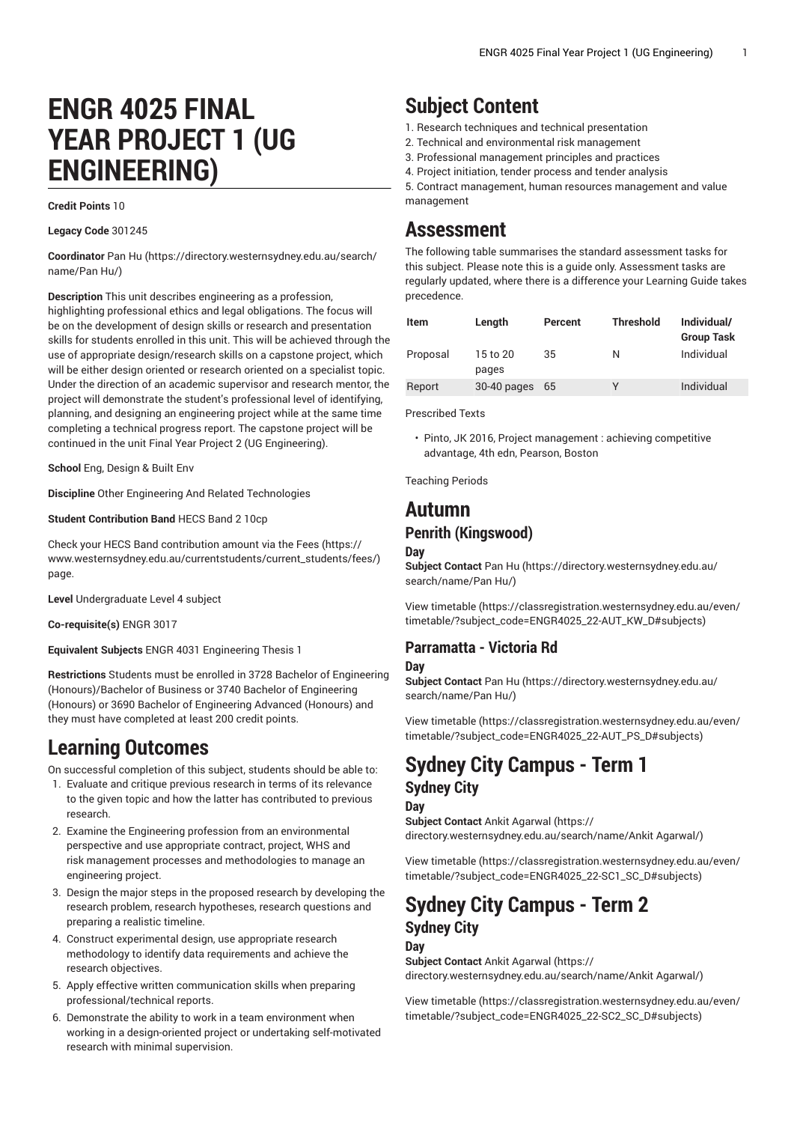# **ENGR 4025 FINAL YEAR PROJECT 1 (UG ENGINEERING)**

#### **Credit Points** 10

**Legacy Code** 301245

**Coordinator** [Pan](https://directory.westernsydney.edu.au/search/name/Pan Hu/) Hu [\(https://directory.westernsydney.edu.au/search/](https://directory.westernsydney.edu.au/search/name/Pan Hu/) [name/Pan](https://directory.westernsydney.edu.au/search/name/Pan Hu/) Hu/)

**Description** This unit describes engineering as a profession, highlighting professional ethics and legal obligations. The focus will be on the development of design skills or research and presentation skills for students enrolled in this unit. This will be achieved through the use of appropriate design/research skills on a capstone project, which will be either design oriented or research oriented on a specialist topic. Under the direction of an academic supervisor and research mentor, the project will demonstrate the student's professional level of identifying, planning, and designing an engineering project while at the same time completing a technical progress report. The capstone project will be continued in the unit Final Year Project 2 (UG Engineering).

**School** Eng, Design & Built Env

**Discipline** Other Engineering And Related Technologies

**Student Contribution Band** HECS Band 2 10cp

Check your HECS Band contribution amount via the [Fees \(https://](https://www.westernsydney.edu.au/currentstudents/current_students/fees/) [www.westernsydney.edu.au/currentstudents/current\\_students/fees/\)](https://www.westernsydney.edu.au/currentstudents/current_students/fees/) page.

**Level** Undergraduate Level 4 subject

**Co-requisite(s)** [ENGR 3017](/search/?P=ENGR%203017)

**Equivalent Subjects** ENGR 4031 Engineering Thesis 1

**Restrictions** Students must be enrolled in 3728 Bachelor of Engineering (Honours)/Bachelor of Business or 3740 Bachelor of Engineering (Honours) or 3690 Bachelor of Engineering Advanced (Honours) and they must have completed at least 200 credit points.

### **Learning Outcomes**

On successful completion of this subject, students should be able to:

- 1. Evaluate and critique previous research in terms of its relevance to the given topic and how the latter has contributed to previous research.
- 2. Examine the Engineering profession from an environmental perspective and use appropriate contract, project, WHS and risk management processes and methodologies to manage an engineering project.
- 3. Design the major steps in the proposed research by developing the research problem, research hypotheses, research questions and preparing a realistic timeline.
- 4. Construct experimental design, use appropriate research methodology to identify data requirements and achieve the research objectives.
- 5. Apply effective written communication skills when preparing professional/technical reports.
- 6. Demonstrate the ability to work in a team environment when working in a design-oriented project or undertaking self-motivated research with minimal supervision.

## **Subject Content**

- 1. Research techniques and technical presentation
- 2. Technical and environmental risk management
- 3. Professional management principles and practices
- 4. Project initiation, tender process and tender analysis

5. Contract management, human resources management and value management

### **Assessment**

The following table summarises the standard assessment tasks for this subject. Please note this is a guide only. Assessment tasks are regularly updated, where there is a difference your Learning Guide takes precedence.

| Item     | Length            | Percent | <b>Threshold</b> | Individual/<br><b>Group Task</b> |
|----------|-------------------|---------|------------------|----------------------------------|
| Proposal | 15 to 20<br>pages | 35      | N                | Individual                       |
| Report   | $30-40$ pages     | 65      | ٧                | Individual                       |

Prescribed Texts

• Pinto, JK 2016, Project management : achieving competitive advantage, 4th edn, Pearson, Boston

Teaching Periods

### **Autumn Penrith (Kingswood)**

#### **Day**

**Subject Contact** [Pan](https://directory.westernsydney.edu.au/search/name/Pan Hu/) Hu ([https://directory.westernsydney.edu.au/](https://directory.westernsydney.edu.au/search/name/Pan Hu/) [search/name/Pan](https://directory.westernsydney.edu.au/search/name/Pan Hu/) Hu/)

[View timetable](https://classregistration.westernsydney.edu.au/even/timetable/?subject_code=ENGR4025_22-AUT_KW_D#subjects) [\(https://classregistration.westernsydney.edu.au/even/](https://classregistration.westernsydney.edu.au/even/timetable/?subject_code=ENGR4025_22-AUT_KW_D#subjects) [timetable/?subject\\_code=ENGR4025\\_22-AUT\\_KW\\_D#subjects](https://classregistration.westernsydney.edu.au/even/timetable/?subject_code=ENGR4025_22-AUT_KW_D#subjects))

### **Parramatta - Victoria Rd**

#### **Day**

**Subject Contact** [Pan](https://directory.westernsydney.edu.au/search/name/Pan Hu/) Hu ([https://directory.westernsydney.edu.au/](https://directory.westernsydney.edu.au/search/name/Pan Hu/) [search/name/Pan](https://directory.westernsydney.edu.au/search/name/Pan Hu/) Hu/)

[View timetable](https://classregistration.westernsydney.edu.au/even/timetable/?subject_code=ENGR4025_22-AUT_PS_D#subjects) [\(https://classregistration.westernsydney.edu.au/even/](https://classregistration.westernsydney.edu.au/even/timetable/?subject_code=ENGR4025_22-AUT_PS_D#subjects) [timetable/?subject\\_code=ENGR4025\\_22-AUT\\_PS\\_D#subjects\)](https://classregistration.westernsydney.edu.au/even/timetable/?subject_code=ENGR4025_22-AUT_PS_D#subjects)

### **Sydney City Campus - Term 1 Sydney City**

#### **Day**

**Subject Contact** Ankit [Agarwal \(https://](https://directory.westernsydney.edu.au/search/name/Ankit Agarwal/) [directory.westernsydney.edu.au/search/name/Ankit](https://directory.westernsydney.edu.au/search/name/Ankit Agarwal/) Agarwal/)

[View timetable](https://classregistration.westernsydney.edu.au/even/timetable/?subject_code=ENGR4025_22-SC1_SC_D#subjects) [\(https://classregistration.westernsydney.edu.au/even/](https://classregistration.westernsydney.edu.au/even/timetable/?subject_code=ENGR4025_22-SC1_SC_D#subjects) [timetable/?subject\\_code=ENGR4025\\_22-SC1\\_SC\\_D#subjects](https://classregistration.westernsydney.edu.au/even/timetable/?subject_code=ENGR4025_22-SC1_SC_D#subjects))

## **Sydney City Campus - Term 2 Sydney City**

#### **Day**

**Subject Contact** Ankit [Agarwal \(https://](https://directory.westernsydney.edu.au/search/name/Ankit Agarwal/) [directory.westernsydney.edu.au/search/name/Ankit](https://directory.westernsydney.edu.au/search/name/Ankit Agarwal/) Agarwal/)

[View timetable](https://classregistration.westernsydney.edu.au/even/timetable/?subject_code=ENGR4025_22-SC2_SC_D#subjects) [\(https://classregistration.westernsydney.edu.au/even/](https://classregistration.westernsydney.edu.au/even/timetable/?subject_code=ENGR4025_22-SC2_SC_D#subjects) [timetable/?subject\\_code=ENGR4025\\_22-SC2\\_SC\\_D#subjects](https://classregistration.westernsydney.edu.au/even/timetable/?subject_code=ENGR4025_22-SC2_SC_D#subjects))